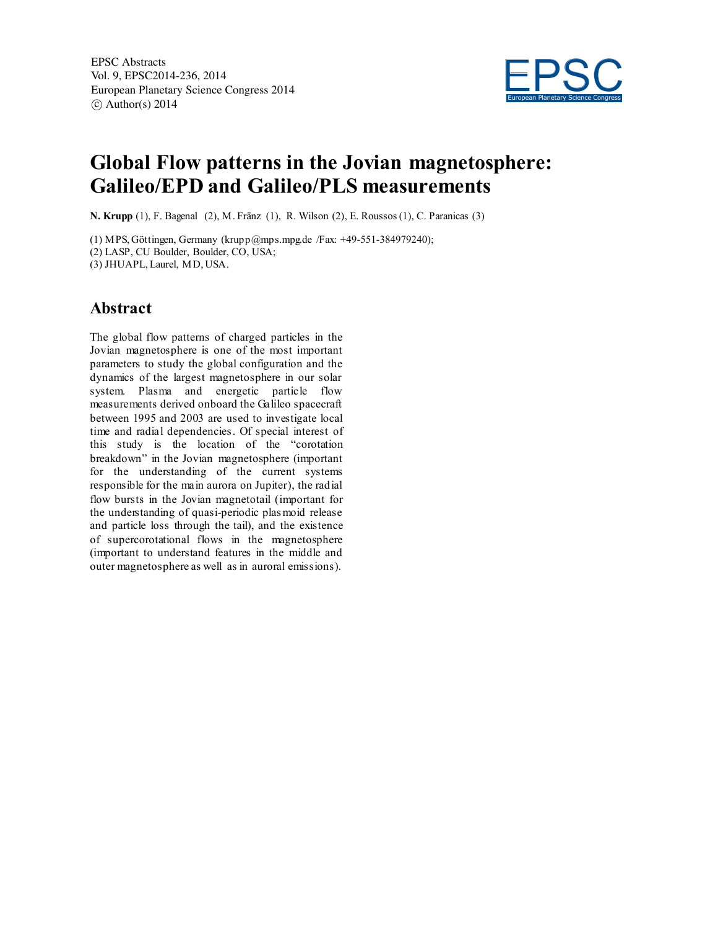

# **Global Flow patterns in the Jovian magnetosphere: Galileo/EPD and Galileo/PLS measurements**

**N. Krupp** (1), F. Bagenal (2), M. Fränz (1), R. Wilson (2), E. Roussos (1), C. Paranicas (3)

(1) MPS, Göttingen, Germany (krupp@mps.mpg.de /Fax: +49-551-384979240); (2) LASP, CU Boulder, Boulder, CO, USA;

(3) JHUAPL, Laurel, MD, USA.

### **Abstract**

The global flow patterns of charged particles in the Jovian magnetosphere is one of the most important parameters to study the global configuration and the dynamics of the largest magnetosphere in our solar system. Plasma and energetic particle flow measurements derived onboard the Galileo spacecraft between 1995 and 2003 are used to investigate local time and radial dependencies. Of special interest of this study is the location of the "corotation breakdown" in the Jovian magnetosphere (important for the understanding of the current systems responsible for the main aurora on Jupiter), the radial flow bursts in the Jovian magnetotail (important for the understanding of quasi-periodic plas moid release and particle loss through the tail), and the existence of supercorotational flows in the magnetosphere (important to understand features in the middle and outer magnetosphere as well as in auroral emissions).